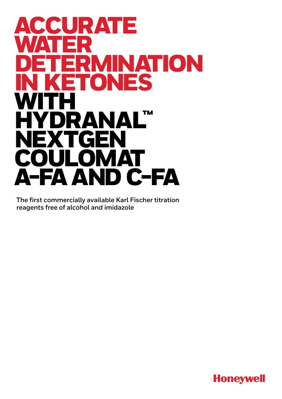# ACCURATE WATER ERMINATION<br>ETONES ES **WITH** HYDRANAL™ **NEXTGEN** COULOMAT A-FA AND C-FA

**The first commercially available Karl Fischer titration reagents free of alcohol and imidazole**

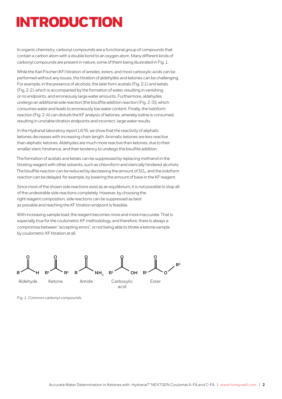## INTRODUCTION

In organic chemistry, carbonyl compounds are a functional group of compounds that contain a carbon atom with a double bond to an oxygen atom. Many different kinds of carbonyl compounds are present in nature, some of them being illustrated in Fig. 1.

While the Karl Fischer (KF) titration of amides, esters, and most carboxylic acids can be performed without any issues, the titration of aldehydes and ketones can be challenging. For example, in the presence of alcohols, the later form acetals (Fig. 2-1) and ketals (Fig. 2-2), which is accompanied by the formation of water, resulting in vanishing or no endpoints, and erroneously large water amounts. Furthermore, aldehydes undergo an additional side reaction [the bisulfite addition reaction (Fig. 2-3)], which consumes water and leads to erroneously low water content. Finally, the Iodoform reaction (Fig. 2-4) can disturb the KF analysis of ketones, whereby iodine is consumed, resulting in unstable titration endpoints and incorrect, large water results.

In the Hydranal laboratory report L676, we show that the reactivity of aliphatic ketones decreases with increasing chain length. Aromatic ketones are less reactive than aliphatic ketones. Aldehydes are much more reactive than ketones, due to their smaller steric hindrance, and their tendency to undergo the bisulfite addition.

The formation of acetals and ketals can be suppressed by replacing methanol in the titrating reagent with other solvents, such as chloroform and sterically hindered alcohols. The bisulfite reaction can be reduced by decreasing the amount of  $SO_2$ , and the iodoform reaction can be delayed, for example, by lowering the amount of base in the KF reagent.

Since most of the shown side reactions exist as an equilibrium, it is not possible to stop all of the undesirable side reactions completely. However, by choosing the right reagent composition, side reactions can be suppressed as best as possible and reaching the KF titration endpoint is feasible.

With increasing sample load, the reagent becomes more and more inaccurate. That is especially true for the coulometric KF methodology, and therefore, there is always a compromise between "accepting errors", or not being able to titrate a ketone sample by coulometric KF titration at all.



*Fig. 1. Common carbonyl compounds*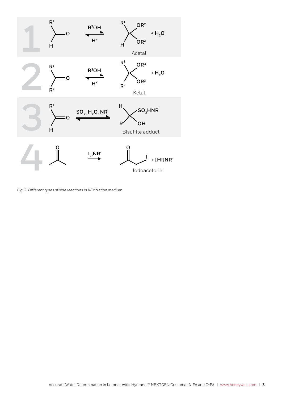

*Fig. 2. Different types of side reactions in KF titration medium*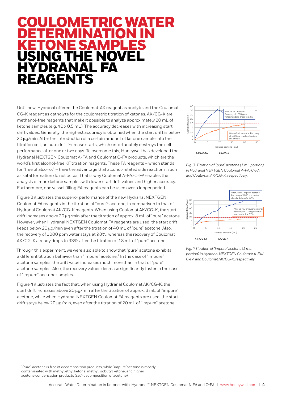### OMETRIC WATER DETERMINATION IN KETONE SAMPLES USING THE NOVEL HYDRANAL FA REAGENTS

Until now, Hydranal offered the Coulomat-AK reagent as anolyte and the Coulomat CG-K reagent as catholyte for the coulometric titration of ketones. AK/CG-K are methanol-free reagents that make it possible to analyze approximately 20 mL of ketone samples (e.g. 40 x 0.5 mL). The accuracy decreases with increasing start drift values. Generally, the highest accuracy is obtained when the start drift is below 20 ug/min. After the introduction of a certain amount of ketone sample into the titration cell, an auto drift increase starts, which unfortunately destroys the cell performance after one or two days. To overcome this, Honeywell has developed the Hydranal NEXTGEN Coulomat A-FA and Coulomat C-FA products, which are the world's first alcohol-free KF titration reagents. These FA reagents – which stands for "free of alcohol" – have the advantage that alcohol-related side reactions, such as ketal formation do not occur. That is why Coulomat A-FA/C-FA enables the analysis of more ketone samples with lower start drift values and higher accuracy. Furthermore, one vessel filling FA reagents can be used over a longer period.

Figure 3 illustrates the superior performance of the new Hydranal NEXTGEN Coulomat FA reagents in the titration of "pure"1 acetone, in comparison to that of Hydranal Coulomat AK/CG-K reagents. When using Coulomat AK/CG-K, the start drift increases above 20 μg/min after the titration of approx. 8 mL of "pure" acetone. However, when Hydranal NEXTGEN Coulomat FA reagents are used, the start drift keeps below 20 μg/min even after the titration of 40 mL of "pure" acetone. Also, the recovery of 1000 ppm water stays at 98%, whereas the recovery of Coulomat AK/CG-K already drops to 93% after the titration of 18 mL of "pure" acetone.

Through this experiment, we were also able to show that "pure" acetone exhibits a different titration behavior than "impure" acetone.<sup>1</sup> In the case of "impure" acetone samples, the drift value increases much more than in that of "pure" acetone samples. Also, the recovery values decrease significantly faster in the case of "impure" acetone samples.

Figure 4 illustrates the fact that, when using Hydranal Coulomat AK/CG-K, the start drift increases above 20 µg/min after the titration of approx. 3 mL of "impure" acetone, while when Hydranal NEXTGEN Coulomat FA reagents are used, the start drift stays below 20 µg/min, even after the titration of 20 mL of "impure" acetone.



*Fig. 3. Titration of "pure" acetone (1 mL portion) in Hydranal NEXTGEN Coulomat A-FA/C-FA and Coulomat AK/CG-K, respectively.*



*Fig. 4 Titration of "impure" acetone (1 mL portion) in Hydranal NEXTGEN Coulomat A-FA/ C-FA and Coulomat AK/CG-K, respectively.*

<sup>1.</sup> "Pure" acetone is free of decomposition products, while "impure"acetone is mostly contaminated with methyl ethyl ketone, methyl isobutyl ketone, and higher acetone condensation products (self-decomposition of acetone).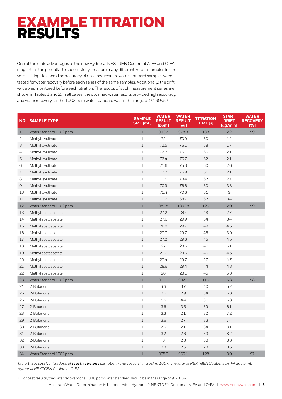## EXAMPLE TITRATION RESULTS

One of the main advantages of the new Hydranal NEXTGEN Coulomat A-FA and C-FA reagents is the potential to successfully measure many different ketone samples in one vessel filling. To check the accuracy of obtained results, water standard samples were tested for water recovery before each series of the same samples. Additionally, the drift value was monitored before each titration. The results of such measurement series are shown in Tables 1 and 2. In all cases, the obtained water results provided high accuracy, and water recovery for the 1002 ppm water standard was in the range of 97-99%. 2

| <b>NO</b>    | <b>SAMPLE TYPE</b>      | <b>SAMPLE</b><br>SIZE [mL] | <b>WATER</b><br><b>RESULT</b><br>[ppm] | <b>WATER</b><br><b>RESULT</b><br>$[\mu$ g] | <b>TITRATION</b><br>TIME [s] | <b>START</b><br><b>DRIFT</b><br>$\overline{[µg/min]}$ | <b>WATER</b><br><b>RECOVERY</b><br>[%] |
|--------------|-------------------------|----------------------------|----------------------------------------|--------------------------------------------|------------------------------|-------------------------------------------------------|----------------------------------------|
| $\mathbf{1}$ | Water Standard 1002 ppm | $\mathbf{1}$               | 993.2                                  | 978.3                                      | 103                          | 2.2                                                   | 99                                     |
| 2            | Methyl levulinate       | $\mathbf{1}$               | 72                                     | 70.9                                       | 60                           | 1.4                                                   |                                        |
| 3            | Methyl levulinate       | $1\,$                      | 72.5                                   | 76.1                                       | 58                           | 1.7                                                   |                                        |
| 4            | Methyl levulinate       | $\,1\,$                    | 72.3                                   | 75.1                                       | 60                           | 2.1                                                   |                                        |
| 5            | Methyl levulinate       | $1\,$                      | 72.4                                   | 75.7                                       | 62                           | 2.1                                                   |                                        |
| 6            | Methyl levulinate       | $\mathbf{1}$               | 71.6                                   | 75.3                                       | 60                           | 2.6                                                   |                                        |
| 7            | Methyl levulinate       | $\mathbf 1$                | 72.2                                   | 75.9                                       | 61                           | 2.1                                                   |                                        |
| 8            | Methyl levulinate       | $\mathbf 1$                | 71.5                                   | 73.4                                       | 62                           | 2.7                                                   |                                        |
| 9            | Methyl levulinate       | $\mathbf{1}$               | 70.9                                   | 76.6                                       | 60                           | 3.3                                                   |                                        |
| 10           | Methyl levulinate       | $\mathbf 1$                | 71.4                                   | 70.6                                       | 61                           | 3                                                     |                                        |
| 11           | Methyl levulinate       | $1\,$                      | 70.9                                   | 68.7                                       | 62                           | 3.4                                                   |                                        |
| 12           | Water Standard 1002 ppm | $\mathbf{1}$               | 989.8                                  | 1003.8                                     | 120                          | 2.9                                                   | 99                                     |
| 13           | Methyl acetoacetate     | $\,1\,$                    | 27.2                                   | 30                                         | 48                           | 2.7                                                   |                                        |
| 14           | Methyl acetoacetate     | $\mathbf 1$                | 27.6                                   | 29.9                                       | 54                           | 3.4                                                   |                                        |
| 15           | Methyl acetoacetate     | $\,1\,$                    | 26.8                                   | 29.7                                       | 49                           | 4.5                                                   |                                        |
| 16           | Methyl acetoacetate     | $\mathbf 1$                | 27.7                                   | 29.7                                       | 45                           | 3.9                                                   |                                        |
| 17           | Methyl acetoacetate     | $\mathbf{1}$               | 27.2                                   | 29.6                                       | 45                           | 4.5                                                   |                                        |
| 18           | Methyl acetoacetate     | $\,1\,$                    | 27                                     | 28.6                                       | 47                           | 5.1                                                   |                                        |
| 19           | Methyl acetoacetate     | $\,1\,$                    | 27.6                                   | 29.6                                       | 46                           | 4.5                                                   |                                        |
| 20           | Methyl acetoacetate     | $\mathbf 1$                | 27.4                                   | 29.7                                       | 47                           | 4.7                                                   |                                        |
| 21           | Methyl acetoacetate     | $\,1\,$                    | 28.6                                   | 29.4                                       | 44                           | 4.8                                                   |                                        |
| 22           | Methyl acetoacetate     | $\mathbf 1$                | 28                                     | 28.1                                       | 45                           | 5.3                                                   |                                        |
| 23           | Water Standard 1002 ppm | $1\,$                      | 979.7                                  | 992.1                                      | 110                          | 5.8                                                   | 98                                     |
| 24           | 2-Butanone              | $1\,$                      | 4.4                                    | 3.7                                        | 40                           | 5.2                                                   |                                        |
| 25           | 2-Butanone              | $1\,$                      | 3.6                                    | 2.9                                        | 34                           | 5.8                                                   |                                        |
| 26           | 2-Butanone              | $\mathbf{1}$               | 5.5                                    | 4.4                                        | 37                           | 5.8                                                   |                                        |
| 27           | 2-Butanone              | $\mathbf{1}$               | 3.6                                    | 3.5                                        | 39                           | 6.1                                                   |                                        |
| 28           | 2-Butanone              | $1\,$                      | 3.3                                    | 2.1                                        | 32                           | 7.2                                                   |                                        |
| 29           | 2-Butanone              | $\mathbf{1}$               | 3.6                                    | 2.7                                        | 33                           | 7.4                                                   |                                        |
| 30           | 2-Butanone              | $1\,$                      | 2.5                                    | 2.1                                        | 34                           | 8.1                                                   |                                        |
| 31           | 2-Butanone              | $1\,$                      | 3.2                                    | 2.6                                        | 33                           | 8.2                                                   |                                        |
| 32           | 2-Butanone              | $\mathbf 1$                | 3                                      | 2.3                                        | 33                           | 8.8                                                   |                                        |
| 33           | 2-Butanone              | $\,1\,$                    | 3.3                                    | 2.5                                        | 28                           | 8.6                                                   |                                        |
| 34           | Water Standard 1002 ppm | $\mathbf 1$                | 975.7                                  | 965.1                                      | 128                          | 8.9                                                   | 97                                     |

*Table 1. Successive titrations of reactive ketone samples in one vessel filling using 100 mL Hydranal NEXTGEN Coulomat A-FA and 5 mL Hydranal NEXTGEN Coulomat C-FA.*

2. For best results, the water recovery of a 1000 ppm water standard should be in the range of 97-103%.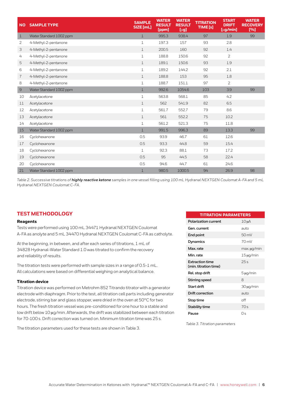| <b>NO</b>    | <b>SAMPLE TYPE</b>      | <b>SAMPLE</b><br>SIZE [mL] | <b>WATER</b><br><b>RESULT</b><br>[ppm] | <b>WATER</b><br><b>RESULT</b><br>$[\mu g]$ | <b>TITRATION</b><br><b>TIME</b> [s] | <b>START</b><br><b>DRIFT</b><br>$\sqrt{[\mu g/min]}$ | <b>WATER</b><br><b>RECOVERY</b><br>[%] |
|--------------|-------------------------|----------------------------|----------------------------------------|--------------------------------------------|-------------------------------------|------------------------------------------------------|----------------------------------------|
| $\mathbf{1}$ | Water Standard 1002 ppm | $\mathbf{1}$               | 995.3                                  | 938.4                                      | 97                                  | 1.9                                                  | 99                                     |
| 2            | 4-Methyl-2-pentanone    | $\mathbf{1}$               | 197.3                                  | 157                                        | 93                                  | 2.8                                                  |                                        |
| 3            | 4-Methyl-2-pentanone    | $\mathbf{1}$               | 200.5                                  | 160                                        | 92                                  | 1.4                                                  |                                        |
| 4            | 4-Methyl-2-pentanone    | $\mathbf{1}$               | 188.8                                  | 150.6                                      | 92                                  | $\overline{2}$                                       |                                        |
| 5            | 4-Methyl-2-pentanone    | $\mathbf{1}$               | 189.1                                  | 150.6                                      | 93                                  | 1.9                                                  |                                        |
| 6            | 4-Methyl-2-pentanone    | $\mathbf{1}$               | 189.2                                  | 144.2                                      | 92                                  | 2.1                                                  |                                        |
| 7            | 4-Methyl-2-pentanone    | $\mathbf{1}$               | 188.8                                  | 153                                        | 95                                  | 1.8                                                  |                                        |
| 8            | 4-Methyl-2-pentanone    | $\mathbf{1}$               | 188.7                                  | 151.1                                      | 97                                  | $\overline{2}$                                       |                                        |
| 9            | Water Standard 1002 ppm | $\mathbf{1}$               | 992.6                                  | 1054.6                                     | 103                                 | 3.9                                                  | 99                                     |
| 10           | Acetylacetone           | $\mathbf{1}$               | 563.8                                  | 568.1                                      | 85                                  | 4.2                                                  |                                        |
| 11           | Acetylacetone           | $\mathbf{1}$               | 562                                    | 541.9                                      | 82                                  | 6.5                                                  |                                        |
| 12           | Acetylacetone           | $\mathbf{1}$               | 561.7                                  | 552.7                                      | 79                                  | 8.6                                                  |                                        |
| 13           | Acetylacetone           | $\mathbf{1}$               | 561                                    | 552.2                                      | 75                                  | 10.2                                                 |                                        |
| 14           | Acetylacetone           | $\mathbf{1}$               | 561.2                                  | 521.3                                      | 75                                  | 11.8                                                 |                                        |
| 15           | Water Standard 1002 ppm | $\mathbf{1}$               | 991.5                                  | 996.3                                      | 89                                  | 13.3                                                 | 99                                     |
| 16           | Cyclohexanone           | 0.5                        | 93.9                                   | 46.7                                       | 61                                  | 12.6                                                 |                                        |
| 17           | Cyclohexanone           | 0.5                        | 93.3                                   | 44.8                                       | 59                                  | 15.4                                                 |                                        |
| 18           | Cyclohexanone           | $\mathbf{1}$               | 92.3                                   | 88.1                                       | 73                                  | 17.2                                                 |                                        |
| 19           | Cyclohexanone           | 0.5                        | 95                                     | 44.5                                       | 58                                  | 22.4                                                 |                                        |
| 20           | Cyclohexanone           | 0.5                        | 94.6                                   | 44.7                                       | 61                                  | 24.6                                                 |                                        |
| 21           | Water Standard 1002 ppm | $\mathbf{1}$               | 980.5                                  | 1000.5                                     | 94                                  | 26.9                                                 | 98                                     |

*Table 2. Successive titrations of highly reactive ketone samples in one vessel filling using 100 mL Hydranal NEXTGEN Coulomat A-FA and 5 mL Hydranal NEXTGEN Coulomat C-FA.*

#### **TEST METHODOLOGY**

#### **Reagents**

Tests were performed using 100 mL 34471 Hydranal NEXTGEN Coulomat A-FA as anolyte and 5 mL 34470 Hydranal NEXTGEN Coulomat C-FA as catholyte.

At the beginning, in between, and after each series of titrations, 1 mL of 34828 Hydranal-Water Standard 1.0 was titrated to confirm the recovery and reliability of results.

The titration tests were performed with sample sizes in a range of 0.5-1 mL. All calculations were based on differential weighing on analytical balance.

#### **Titration device**

Titration device was performed on Metrohm 852 Titrando titrator with a generator electrode with diaphragm. Prior to the test, all titration cell parts including generator electrode, stirring bar and glass stopper, were dried in the oven at 50°C for two hours. The fresh titration vessel was pre-conditioned for one hour to a stable and low drift below 10 µg/min. Afterwards, the drift was stabilized between each titration for 70-100 s. Drift correction was turned on. Minimum titration time was 25 s.

The titration parameters used for these tests are shown in Table 3.

| <b>TITRATION PARAMETERS</b>                     |                    |  |  |  |  |
|-------------------------------------------------|--------------------|--|--|--|--|
| <b>Polarization current</b>                     | $10 \mu A$         |  |  |  |  |
| Gen. current                                    | auto               |  |  |  |  |
| End point                                       | 50 mV              |  |  |  |  |
| Dynamics                                        | $70 \,\mathrm{mV}$ |  |  |  |  |
| Max. rate                                       | max. µg/min        |  |  |  |  |
| Min. rate                                       | $15 \mu q/min$     |  |  |  |  |
| <b>Extraction time</b><br>(min. titration time) | 25s                |  |  |  |  |
| Rel. stop drift                                 | $5 \mu q/min$      |  |  |  |  |
| Stirring speed                                  | 8                  |  |  |  |  |
| Start drift                                     | 30 µg/min          |  |  |  |  |
| Drift correction                                | auto               |  |  |  |  |
| Stop time                                       | nff                |  |  |  |  |
| Stability time                                  | 70s                |  |  |  |  |
| Pause                                           | Ωs                 |  |  |  |  |

*Table 3. Titration parameters*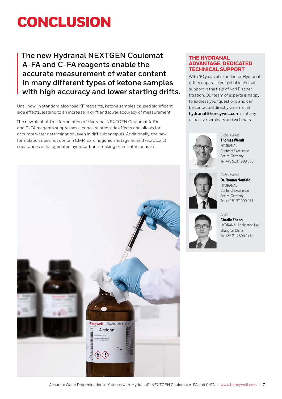## **CONCLUSION**

### **The new Hydranal NEXTGEN Coulomat A-FA and C-FA reagents enable the accurate measurement of water content in many different types of ketone samples with high accuracy and lower starting drifts.**

Until now, in standard alcoholic KF reagents, ketone samples caused significant side effects, leading to an increase in drift and lower accuracy of measurement.

The new alcohol-free formulation of Hydranal NEXTGEN Coulomat A-FA and C-FA reagents suppresses alcohol-related side effects and allows for accurate water determination, even in difficult samples. Additionally, the new formulation does not contain CMR (carcinogenic, mutagenic and reprotoxic) substances or halogenated hydrocarbons, making them safer for users.



### **THE HYDRANAL ADVANTAGE: DEDICATED TECHNICAL SUPPORT**

With 40 years of experience, Hydranal offers unparalleled global technical support in the field of Karl Fischer titration. Our team of experts is happy to address your questions and can be contacted directly via email at **hydranal@honeywell.com** or at any of our live seminars and webinars.

#### *Global Market*

**Thomas Wendt** HYDRANAL Center of Excellence Seelze, Germany Tel: +49 5137 999 353



#### *Global Market* **Dr. Roman Neufeld**

HYDRANAL Center of Excellence Seelze, Germany Tel: +49 5137 999 451

#### *APAC*

**Charlie Zhang** HYDRANAL Application Lab Shanghai, China Tel: +86 21 2894 4715